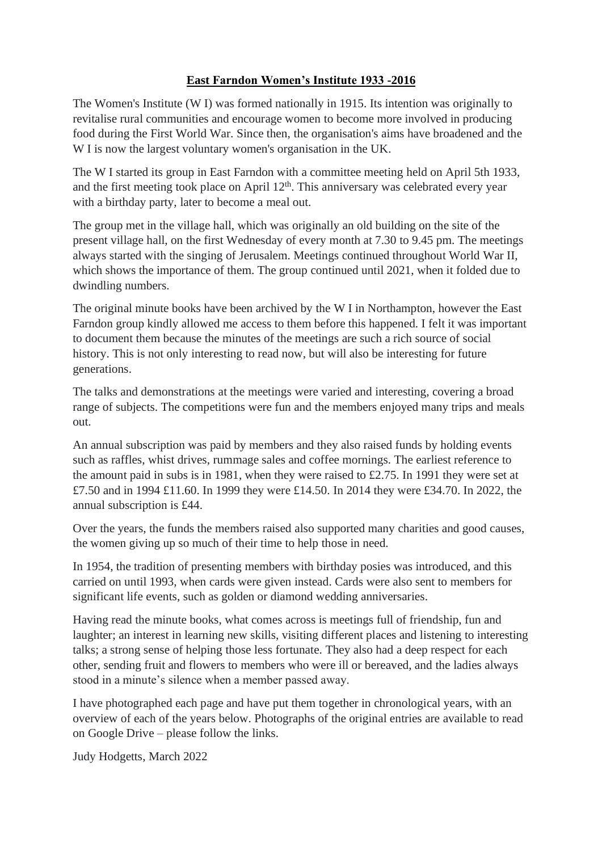## **East Farndon Women's Institute 1933 -2016**

The Women's Institute (W I) was formed nationally in 1915. Its intention was originally to revitalise rural communities and encourage women to become more involved in producing food during the First World War. Since then, the organisation's aims have broadened and the W I is now the largest voluntary women's organisation in the UK.

The W I started its group in East Farndon with a committee meeting held on April 5th 1933, and the first meeting took place on April  $12<sup>th</sup>$ . This anniversary was celebrated every year with a birthday party, later to become a meal out.

The group met in the village hall, which was originally an old building on the site of the present village hall, on the first Wednesday of every month at 7.30 to 9.45 pm. The meetings always started with the singing of Jerusalem. Meetings continued throughout World War II, which shows the importance of them. The group continued until 2021, when it folded due to dwindling numbers.

The original minute books have been archived by the W I in Northampton, however the East Farndon group kindly allowed me access to them before this happened. I felt it was important to document them because the minutes of the meetings are such a rich source of social history. This is not only interesting to read now, but will also be interesting for future generations.

The talks and demonstrations at the meetings were varied and interesting, covering a broad range of subjects. The competitions were fun and the members enjoyed many trips and meals out.

An annual subscription was paid by members and they also raised funds by holding events such as raffles, whist drives, rummage sales and coffee mornings. The earliest reference to the amount paid in subs is in 1981, when they were raised to £2.75. In 1991 they were set at £7.50 and in 1994 £11.60. In 1999 they were £14.50. In 2014 they were £34.70. In 2022, the annual subscription is £44.

Over the years, the funds the members raised also supported many charities and good causes, the women giving up so much of their time to help those in need.

In 1954, the tradition of presenting members with birthday posies was introduced, and this carried on until 1993, when cards were given instead. Cards were also sent to members for significant life events, such as golden or diamond wedding anniversaries.

Having read the minute books, what comes across is meetings full of friendship, fun and laughter; an interest in learning new skills, visiting different places and listening to interesting talks; a strong sense of helping those less fortunate. They also had a deep respect for each other, sending fruit and flowers to members who were ill or bereaved, and the ladies always stood in a minute's silence when a member passed away.

I have photographed each page and have put them together in chronological years, with an overview of each of the years below. Photographs of the original entries are available to read on Google Drive – please follow the links.

Judy Hodgetts, March 2022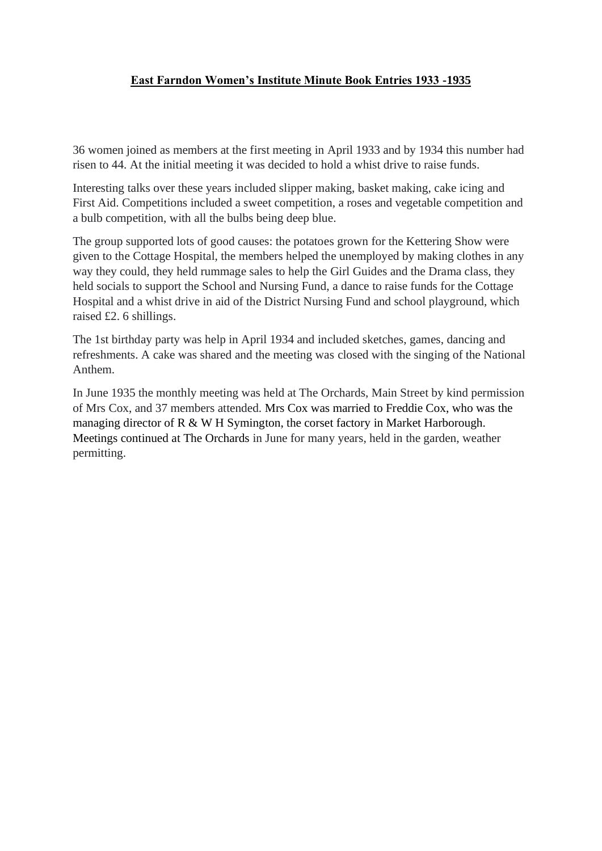# **East Farndon Women's Institute Minute Book Entries 1933 -1935**

36 women joined as members at the first meeting in April 1933 and by 1934 this number had risen to 44. At the initial meeting it was decided to hold a whist drive to raise funds.

Interesting talks over these years included slipper making, basket making, cake icing and First Aid. Competitions included a sweet competition, a roses and vegetable competition and a bulb competition, with all the bulbs being deep blue.

The group supported lots of good causes: the potatoes grown for the Kettering Show were given to the Cottage Hospital, the members helped the unemployed by making clothes in any way they could, they held rummage sales to help the Girl Guides and the Drama class, they held socials to support the School and Nursing Fund, a dance to raise funds for the Cottage Hospital and a whist drive in aid of the District Nursing Fund and school playground, which raised £2. 6 shillings.

The 1st birthday party was help in April 1934 and included sketches, games, dancing and refreshments. A cake was shared and the meeting was closed with the singing of the National Anthem.

In June 1935 the monthly meeting was held at The Orchards, Main Street by kind permission of Mrs Cox, and 37 members attended. Mrs Cox was married to Freddie Cox, who was the managing director of R & W H Symington, the corset factory in Market Harborough. Meetings continued at The Orchards in June for many years, held in the garden, weather permitting.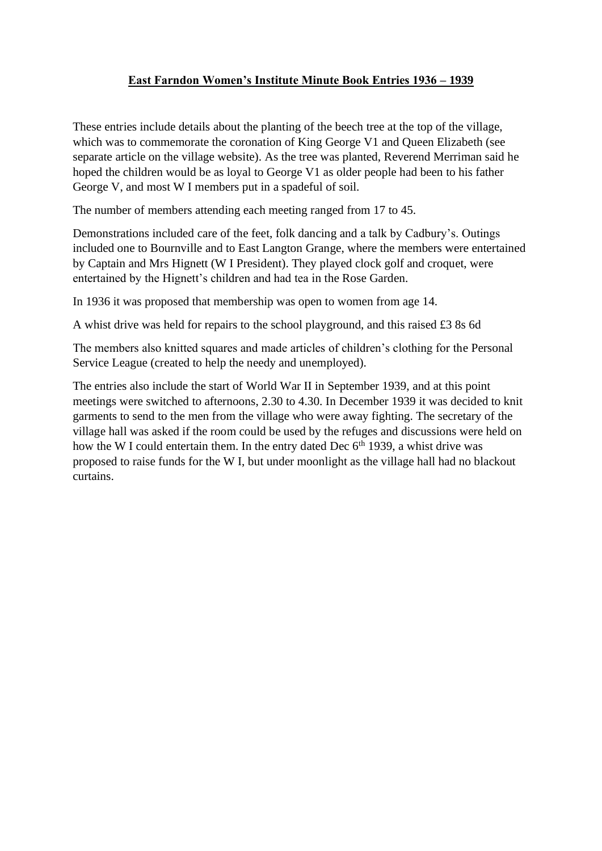## **East Farndon Women's Institute Minute Book Entries 1936 – 1939**

These entries include details about the planting of the beech tree at the top of the village, which was to commemorate the coronation of King George V1 and Queen Elizabeth (see separate article on the village website). As the tree was planted, Reverend Merriman said he hoped the children would be as loyal to George V1 as older people had been to his father George V, and most W I members put in a spadeful of soil.

The number of members attending each meeting ranged from 17 to 45.

Demonstrations included care of the feet, folk dancing and a talk by Cadbury's. Outings included one to Bournville and to East Langton Grange, where the members were entertained by Captain and Mrs Hignett (W I President). They played clock golf and croquet, were entertained by the Hignett's children and had tea in the Rose Garden.

In 1936 it was proposed that membership was open to women from age 14.

A whist drive was held for repairs to the school playground, and this raised £3 8s 6d

The members also knitted squares and made articles of children's clothing for the Personal Service League (created to help the needy and unemployed).

The entries also include the start of World War II in September 1939, and at this point meetings were switched to afternoons, 2.30 to 4.30. In December 1939 it was decided to knit garments to send to the men from the village who were away fighting. The secretary of the village hall was asked if the room could be used by the refuges and discussions were held on how the W I could entertain them. In the entry dated Dec  $6<sup>th</sup>$  1939, a whist drive was proposed to raise funds for the W I, but under moonlight as the village hall had no blackout curtains.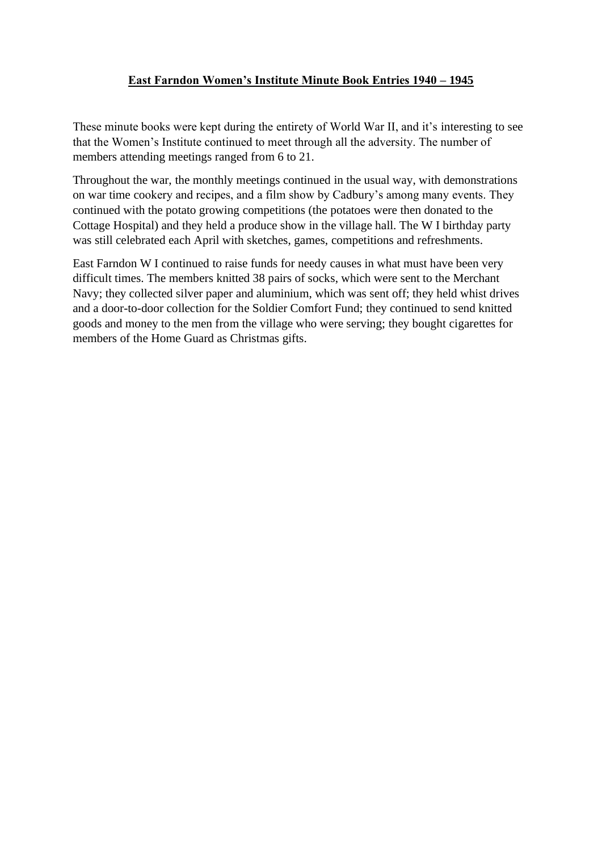## **East Farndon Women's Institute Minute Book Entries 1940 – 1945**

These minute books were kept during the entirety of World War II, and it's interesting to see that the Women's Institute continued to meet through all the adversity. The number of members attending meetings ranged from 6 to 21.

Throughout the war, the monthly meetings continued in the usual way, with demonstrations on war time cookery and recipes, and a film show by Cadbury's among many events. They continued with the potato growing competitions (the potatoes were then donated to the Cottage Hospital) and they held a produce show in the village hall. The W I birthday party was still celebrated each April with sketches, games, competitions and refreshments.

East Farndon W I continued to raise funds for needy causes in what must have been very difficult times. The members knitted 38 pairs of socks, which were sent to the Merchant Navy; they collected silver paper and aluminium, which was sent off; they held whist drives and a door-to-door collection for the Soldier Comfort Fund; they continued to send knitted goods and money to the men from the village who were serving; they bought cigarettes for members of the Home Guard as Christmas gifts.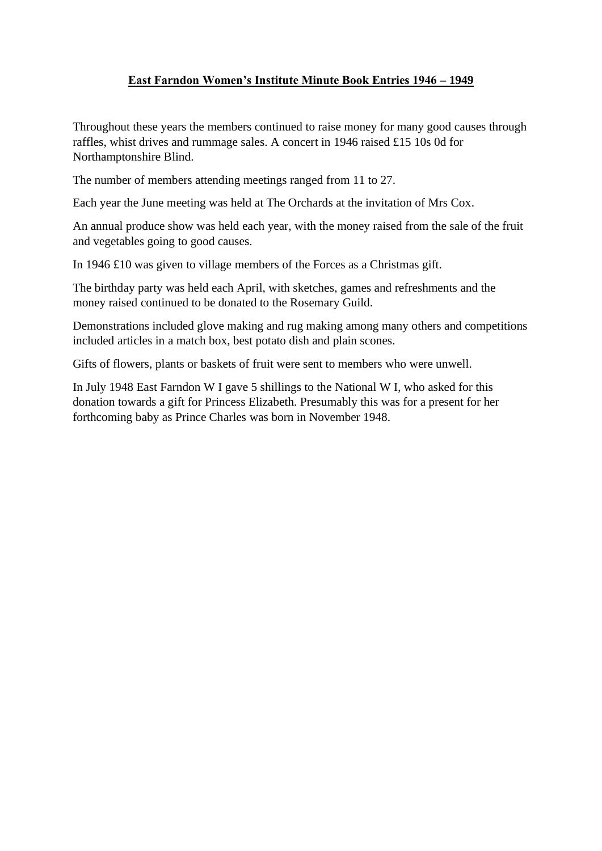## **East Farndon Women's Institute Minute Book Entries 1946 – 1949**

Throughout these years the members continued to raise money for many good causes through raffles, whist drives and rummage sales. A concert in 1946 raised £15 10s 0d for Northamptonshire Blind.

The number of members attending meetings ranged from 11 to 27.

Each year the June meeting was held at The Orchards at the invitation of Mrs Cox.

An annual produce show was held each year, with the money raised from the sale of the fruit and vegetables going to good causes.

In 1946 £10 was given to village members of the Forces as a Christmas gift.

The birthday party was held each April, with sketches, games and refreshments and the money raised continued to be donated to the Rosemary Guild.

Demonstrations included glove making and rug making among many others and competitions included articles in a match box, best potato dish and plain scones.

Gifts of flowers, plants or baskets of fruit were sent to members who were unwell.

In July 1948 East Farndon W I gave 5 shillings to the National W I, who asked for this donation towards a gift for Princess Elizabeth. Presumably this was for a present for her forthcoming baby as Prince Charles was born in November 1948.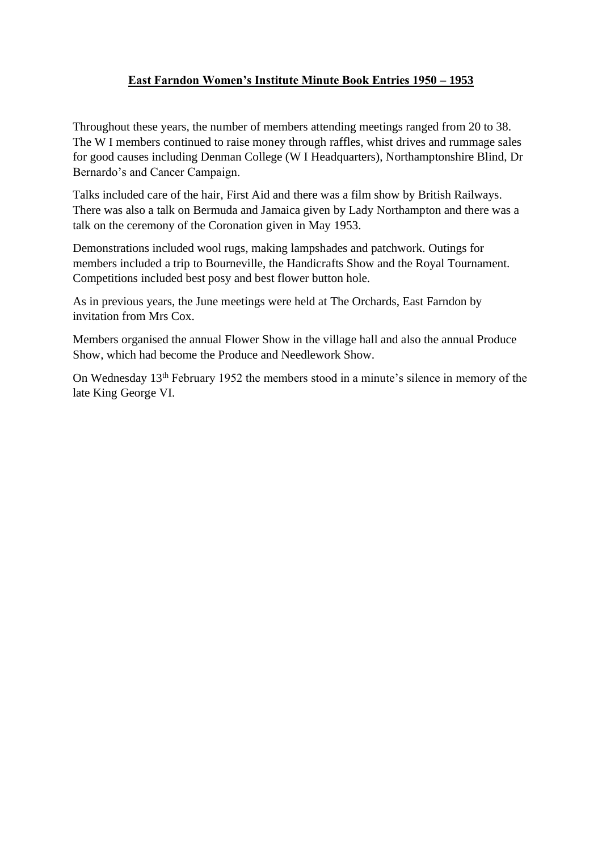## **East Farndon Women's Institute Minute Book Entries 1950 – 1953**

Throughout these years, the number of members attending meetings ranged from 20 to 38. The W I members continued to raise money through raffles, whist drives and rummage sales for good causes including Denman College (W I Headquarters), Northamptonshire Blind, Dr Bernardo's and Cancer Campaign.

Talks included care of the hair, First Aid and there was a film show by British Railways. There was also a talk on Bermuda and Jamaica given by Lady Northampton and there was a talk on the ceremony of the Coronation given in May 1953.

Demonstrations included wool rugs, making lampshades and patchwork. Outings for members included a trip to Bourneville, the Handicrafts Show and the Royal Tournament. Competitions included best posy and best flower button hole.

As in previous years, the June meetings were held at The Orchards, East Farndon by invitation from Mrs Cox.

Members organised the annual Flower Show in the village hall and also the annual Produce Show, which had become the Produce and Needlework Show.

On Wednesday 13th February 1952 the members stood in a minute's silence in memory of the late King George VI.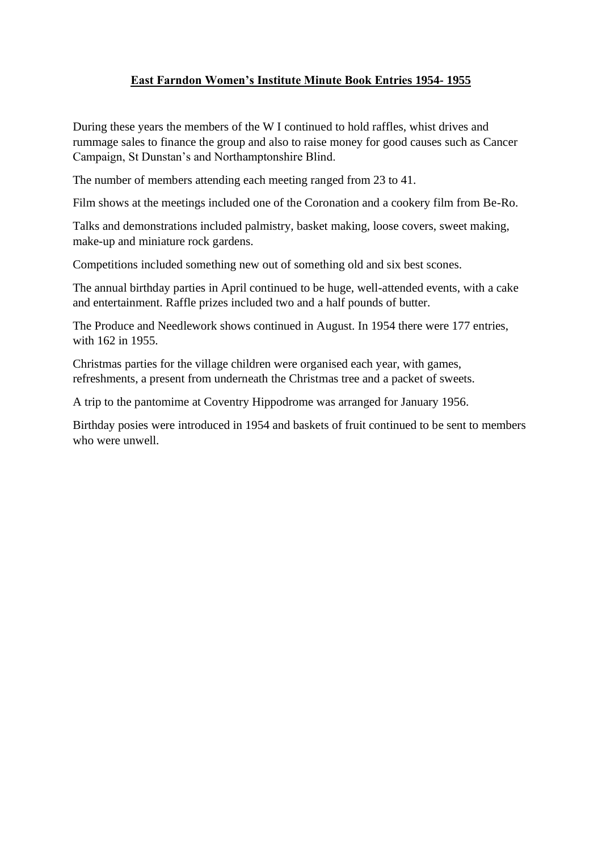# **East Farndon Women's Institute Minute Book Entries 1954- 1955**

During these years the members of the W I continued to hold raffles, whist drives and rummage sales to finance the group and also to raise money for good causes such as Cancer Campaign, St Dunstan's and Northamptonshire Blind.

The number of members attending each meeting ranged from 23 to 41.

Film shows at the meetings included one of the Coronation and a cookery film from Be-Ro.

Talks and demonstrations included palmistry, basket making, loose covers, sweet making, make-up and miniature rock gardens.

Competitions included something new out of something old and six best scones.

The annual birthday parties in April continued to be huge, well-attended events, with a cake and entertainment. Raffle prizes included two and a half pounds of butter.

The Produce and Needlework shows continued in August. In 1954 there were 177 entries, with 162 in 1955.

Christmas parties for the village children were organised each year, with games, refreshments, a present from underneath the Christmas tree and a packet of sweets.

A trip to the pantomime at Coventry Hippodrome was arranged for January 1956.

Birthday posies were introduced in 1954 and baskets of fruit continued to be sent to members who were unwell.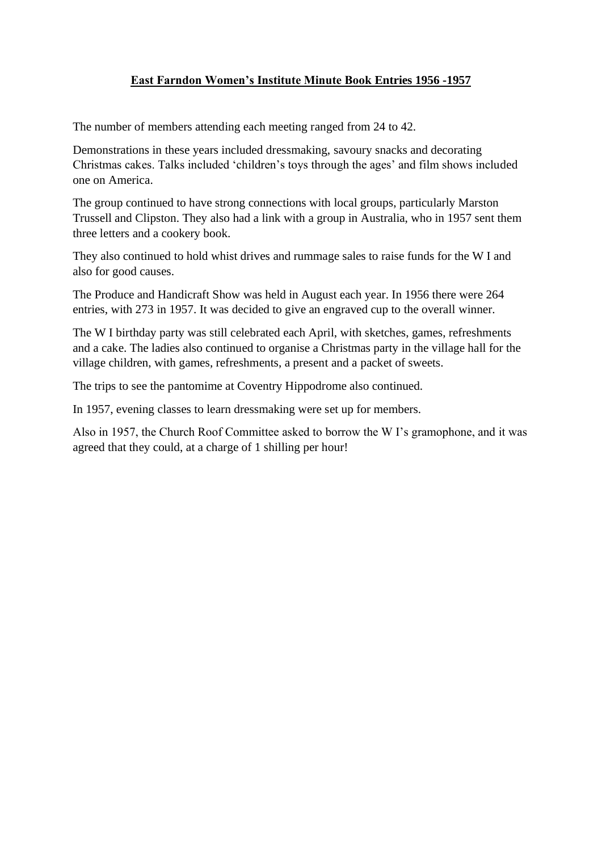## **East Farndon Women's Institute Minute Book Entries 1956 -1957**

The number of members attending each meeting ranged from 24 to 42.

Demonstrations in these years included dressmaking, savoury snacks and decorating Christmas cakes. Talks included 'children's toys through the ages' and film shows included one on America.

The group continued to have strong connections with local groups, particularly Marston Trussell and Clipston. They also had a link with a group in Australia, who in 1957 sent them three letters and a cookery book.

They also continued to hold whist drives and rummage sales to raise funds for the W I and also for good causes.

The Produce and Handicraft Show was held in August each year. In 1956 there were 264 entries, with 273 in 1957. It was decided to give an engraved cup to the overall winner.

The W I birthday party was still celebrated each April, with sketches, games, refreshments and a cake. The ladies also continued to organise a Christmas party in the village hall for the village children, with games, refreshments, a present and a packet of sweets.

The trips to see the pantomime at Coventry Hippodrome also continued.

In 1957, evening classes to learn dressmaking were set up for members.

Also in 1957, the Church Roof Committee asked to borrow the W I's gramophone, and it was agreed that they could, at a charge of 1 shilling per hour!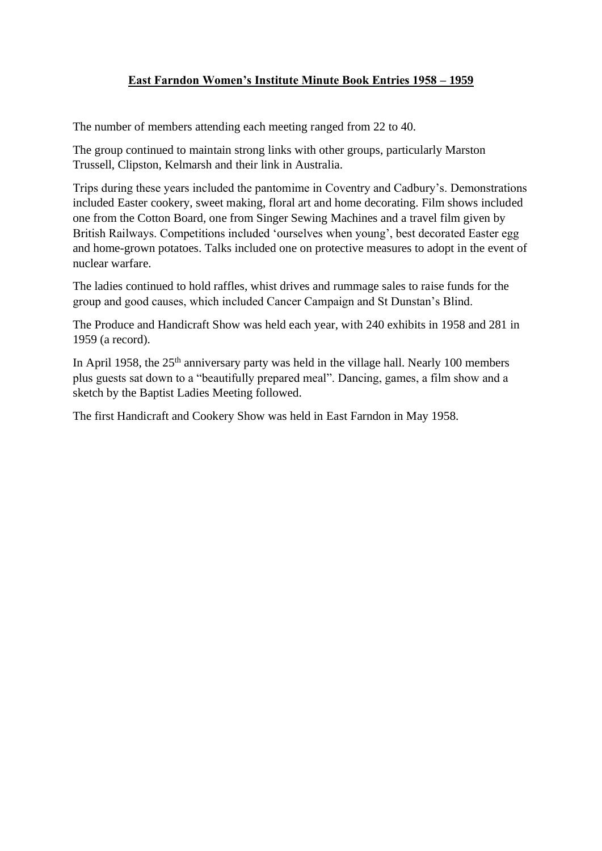## **East Farndon Women's Institute Minute Book Entries 1958 – 1959**

The number of members attending each meeting ranged from 22 to 40.

The group continued to maintain strong links with other groups, particularly Marston Trussell, Clipston, Kelmarsh and their link in Australia.

Trips during these years included the pantomime in Coventry and Cadbury's. Demonstrations included Easter cookery, sweet making, floral art and home decorating. Film shows included one from the Cotton Board, one from Singer Sewing Machines and a travel film given by British Railways. Competitions included 'ourselves when young', best decorated Easter egg and home-grown potatoes. Talks included one on protective measures to adopt in the event of nuclear warfare.

The ladies continued to hold raffles, whist drives and rummage sales to raise funds for the group and good causes, which included Cancer Campaign and St Dunstan's Blind.

The Produce and Handicraft Show was held each year, with 240 exhibits in 1958 and 281 in 1959 (a record).

In April 1958, the  $25<sup>th</sup>$  anniversary party was held in the village hall. Nearly 100 members plus guests sat down to a "beautifully prepared meal". Dancing, games, a film show and a sketch by the Baptist Ladies Meeting followed.

The first Handicraft and Cookery Show was held in East Farndon in May 1958.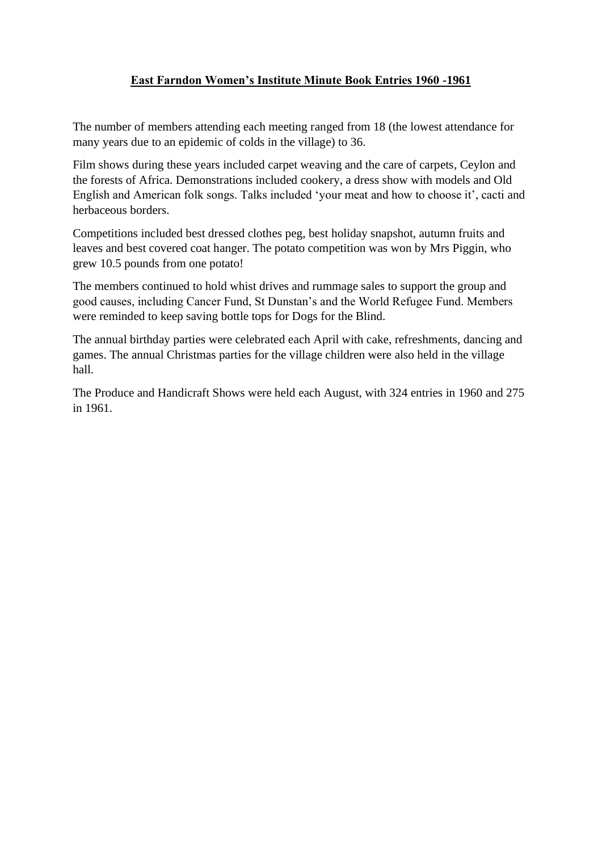# **East Farndon Women's Institute Minute Book Entries 1960 -1961**

The number of members attending each meeting ranged from 18 (the lowest attendance for many years due to an epidemic of colds in the village) to 36.

Film shows during these years included carpet weaving and the care of carpets, Ceylon and the forests of Africa. Demonstrations included cookery, a dress show with models and Old English and American folk songs. Talks included 'your meat and how to choose it', cacti and herbaceous borders.

Competitions included best dressed clothes peg, best holiday snapshot, autumn fruits and leaves and best covered coat hanger. The potato competition was won by Mrs Piggin, who grew 10.5 pounds from one potato!

The members continued to hold whist drives and rummage sales to support the group and good causes, including Cancer Fund, St Dunstan's and the World Refugee Fund. Members were reminded to keep saving bottle tops for Dogs for the Blind.

The annual birthday parties were celebrated each April with cake, refreshments, dancing and games. The annual Christmas parties for the village children were also held in the village hall.

The Produce and Handicraft Shows were held each August, with 324 entries in 1960 and 275 in 1961.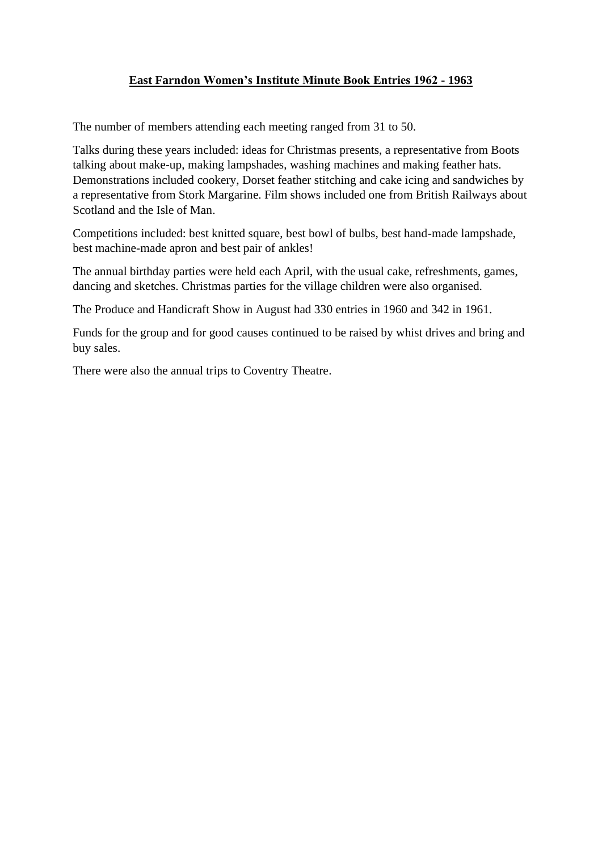## **East Farndon Women's Institute Minute Book Entries 1962 - 1963**

The number of members attending each meeting ranged from 31 to 50.

Talks during these years included: ideas for Christmas presents, a representative from Boots talking about make-up, making lampshades, washing machines and making feather hats. Demonstrations included cookery, Dorset feather stitching and cake icing and sandwiches by a representative from Stork Margarine. Film shows included one from British Railways about Scotland and the Isle of Man.

Competitions included: best knitted square, best bowl of bulbs, best hand-made lampshade, best machine-made apron and best pair of ankles!

The annual birthday parties were held each April, with the usual cake, refreshments, games, dancing and sketches. Christmas parties for the village children were also organised.

The Produce and Handicraft Show in August had 330 entries in 1960 and 342 in 1961.

Funds for the group and for good causes continued to be raised by whist drives and bring and buy sales.

There were also the annual trips to Coventry Theatre.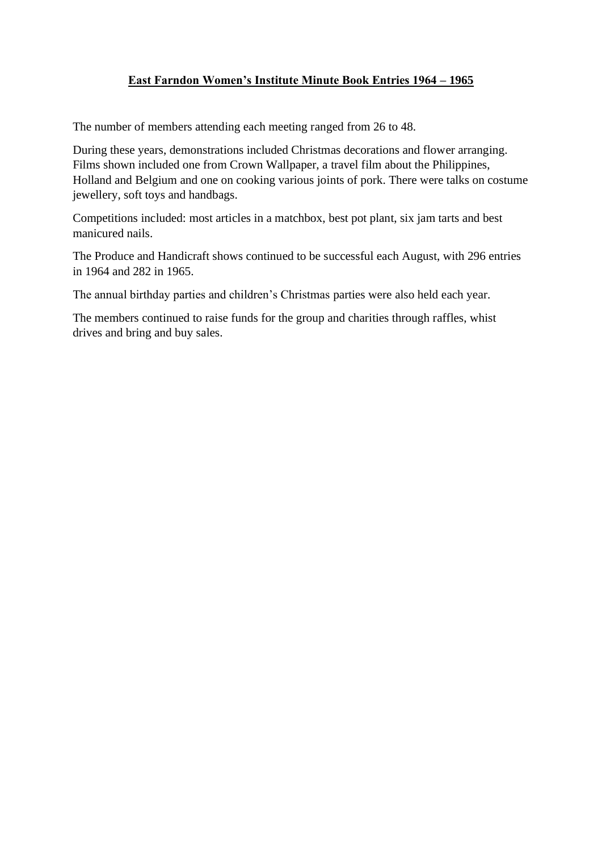## **East Farndon Women's Institute Minute Book Entries 1964 – 1965**

The number of members attending each meeting ranged from 26 to 48.

During these years, demonstrations included Christmas decorations and flower arranging. Films shown included one from Crown Wallpaper, a travel film about the Philippines, Holland and Belgium and one on cooking various joints of pork. There were talks on costume jewellery, soft toys and handbags.

Competitions included: most articles in a matchbox, best pot plant, six jam tarts and best manicured nails.

The Produce and Handicraft shows continued to be successful each August, with 296 entries in 1964 and 282 in 1965.

The annual birthday parties and children's Christmas parties were also held each year.

The members continued to raise funds for the group and charities through raffles, whist drives and bring and buy sales.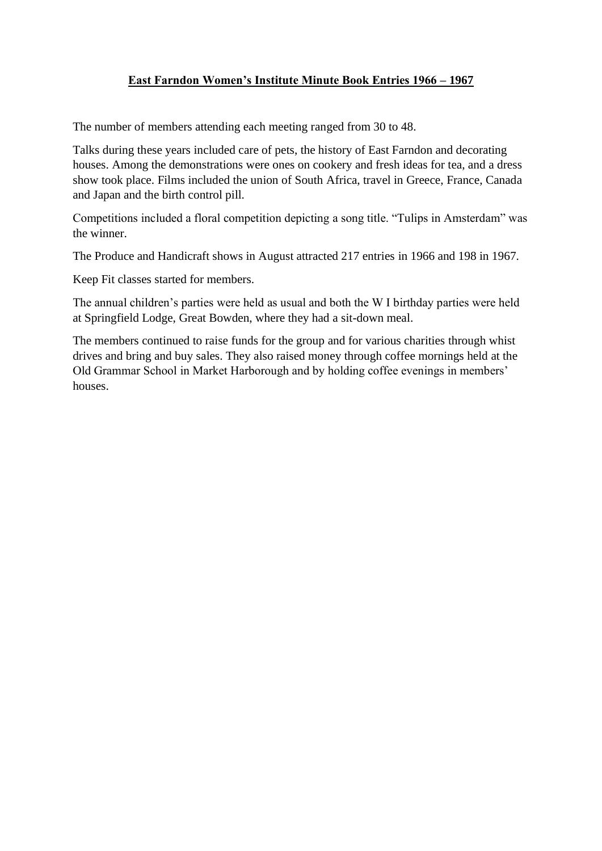## **East Farndon Women's Institute Minute Book Entries 1966 – 1967**

The number of members attending each meeting ranged from 30 to 48.

Talks during these years included care of pets, the history of East Farndon and decorating houses. Among the demonstrations were ones on cookery and fresh ideas for tea, and a dress show took place. Films included the union of South Africa, travel in Greece, France, Canada and Japan and the birth control pill.

Competitions included a floral competition depicting a song title. "Tulips in Amsterdam" was the winner.

The Produce and Handicraft shows in August attracted 217 entries in 1966 and 198 in 1967.

Keep Fit classes started for members.

The annual children's parties were held as usual and both the W I birthday parties were held at Springfield Lodge, Great Bowden, where they had a sit-down meal.

The members continued to raise funds for the group and for various charities through whist drives and bring and buy sales. They also raised money through coffee mornings held at the Old Grammar School in Market Harborough and by holding coffee evenings in members' houses.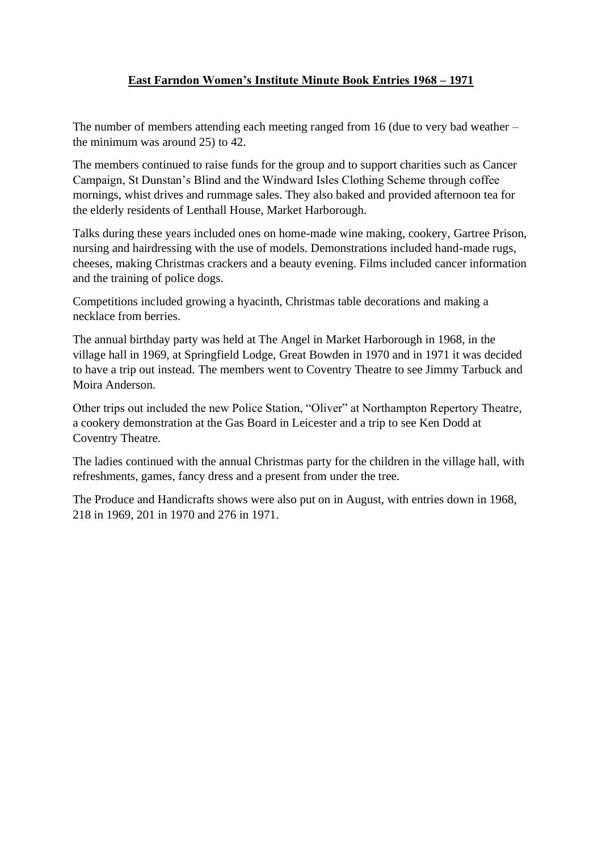## **East Farndon Women's Institute Minute Book Entries 1968 – 1971**

The number of members attending each meeting ranged from 16 (due to very bad weather – the minimum was around 25) to 42.

The members continued to raise funds for the group and to support charities such as Cancer Campaign, St Dunstan's Blind and the Windward Isles Clothing Scheme through coffee mornings, whist drives and rummage sales. They also baked and provided afternoon tea for the elderly residents of Lenthall House, Market Harborough.

Talks during these years included ones on home-made wine making, cookery, Gartree Prison, nursing and hairdressing with the use of models. Demonstrations included hand-made rugs, cheeses, making Christmas crackers and a beauty evening. Films included cancer information and the training of police dogs.

Competitions included growing a hyacinth, Christmas table decorations and making a necklace from berries.

The annual birthday party was held at The Angel in Market Harborough in 1968, in the village hall in 1969, at Springfield Lodge, Great Bowden in 1970 and in 1971 it was decided to have a trip out instead. The members went to Coventry Theatre to see Jimmy Tarbuck and Moira Anderson.

Other trips out included the new Police Station, "Oliver" at Northampton Repertory Theatre, a cookery demonstration at the Gas Board in Leicester and a trip to see Ken Dodd at Coventry Theatre.

The ladies continued with the annual Christmas party for the children in the village hall, with refreshments, games, fancy dress and a present from under the tree.

The Produce and Handicrafts shows were also put on in August, with entries down in 1968, 218 in 1969, 201 in 1970 and 276 in 1971.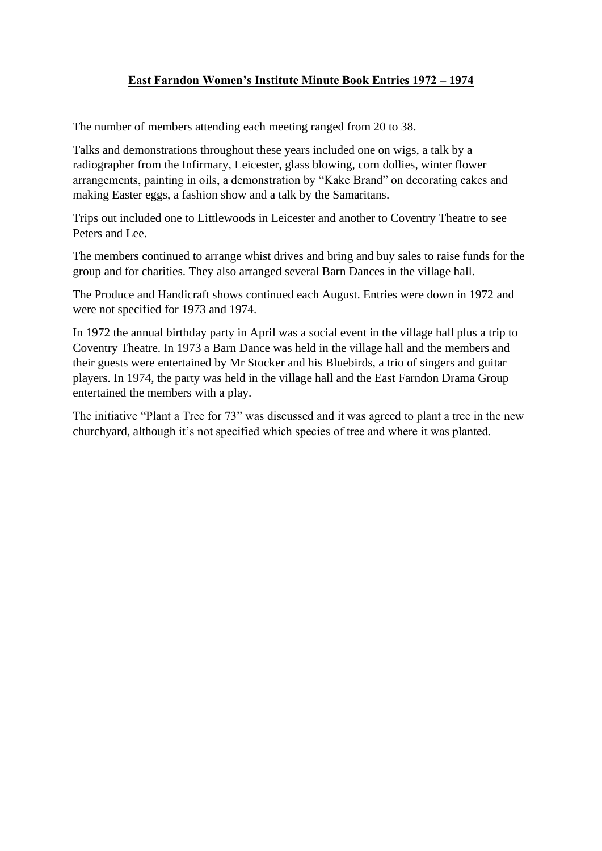## **East Farndon Women's Institute Minute Book Entries 1972 – 1974**

The number of members attending each meeting ranged from 20 to 38.

Talks and demonstrations throughout these years included one on wigs, a talk by a radiographer from the Infirmary, Leicester, glass blowing, corn dollies, winter flower arrangements, painting in oils, a demonstration by "Kake Brand" on decorating cakes and making Easter eggs, a fashion show and a talk by the Samaritans.

Trips out included one to Littlewoods in Leicester and another to Coventry Theatre to see Peters and Lee.

The members continued to arrange whist drives and bring and buy sales to raise funds for the group and for charities. They also arranged several Barn Dances in the village hall.

The Produce and Handicraft shows continued each August. Entries were down in 1972 and were not specified for 1973 and 1974.

In 1972 the annual birthday party in April was a social event in the village hall plus a trip to Coventry Theatre. In 1973 a Barn Dance was held in the village hall and the members and their guests were entertained by Mr Stocker and his Bluebirds, a trio of singers and guitar players. In 1974, the party was held in the village hall and the East Farndon Drama Group entertained the members with a play.

The initiative "Plant a Tree for 73" was discussed and it was agreed to plant a tree in the new churchyard, although it's not specified which species of tree and where it was planted.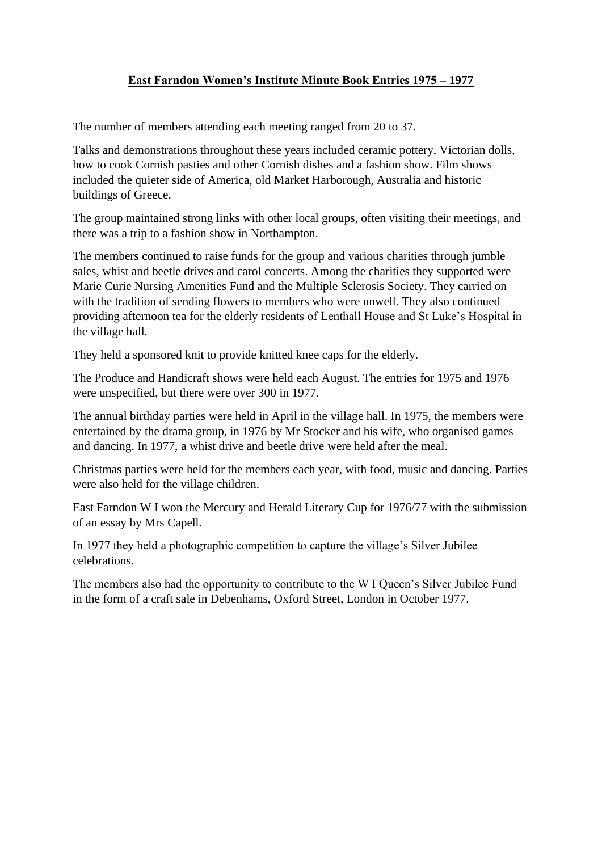# **East Farndon Women's Institute Minute Book Entries 1975 – 1977**

The number of members attending each meeting ranged from 20 to 37.

Talks and demonstrations throughout these years included ceramic pottery, Victorian dolls, how to cook Cornish pasties and other Cornish dishes and a fashion show. Film shows included the quieter side of America, old Market Harborough, Australia and historic buildings of Greece.

The group maintained strong links with other local groups, often visiting their meetings, and there was a trip to a fashion show in Northampton.

The members continued to raise funds for the group and various charities through jumble sales, whist and beetle drives and carol concerts. Among the charities they supported were Marie Curie Nursing Amenities Fund and the Multiple Sclerosis Society. They carried on with the tradition of sending flowers to members who were unwell. They also continued providing afternoon tea for the elderly residents of Lenthall House and St Luke's Hospital in the village hall.

They held a sponsored knit to provide knitted knee caps for the elderly.

The Produce and Handicraft shows were held each August. The entries for 1975 and 1976 were unspecified, but there were over 300 in 1977.

The annual birthday parties were held in April in the village hall. In 1975, the members were entertained by the drama group, in 1976 by Mr Stocker and his wife, who organised games and dancing. In 1977, a whist drive and beetle drive were held after the meal.

Christmas parties were held for the members each year, with food, music and dancing. Parties were also held for the village children.

East Farndon W I won the Mercury and Herald Literary Cup for 1976/77 with the submission of an essay by Mrs Capell.

In 1977 they held a photographic competition to capture the village's Silver Jubilee celebrations.

The members also had the opportunity to contribute to the W I Queen's Silver Jubilee Fund in the form of a craft sale in Debenhams, Oxford Street, London in October 1977.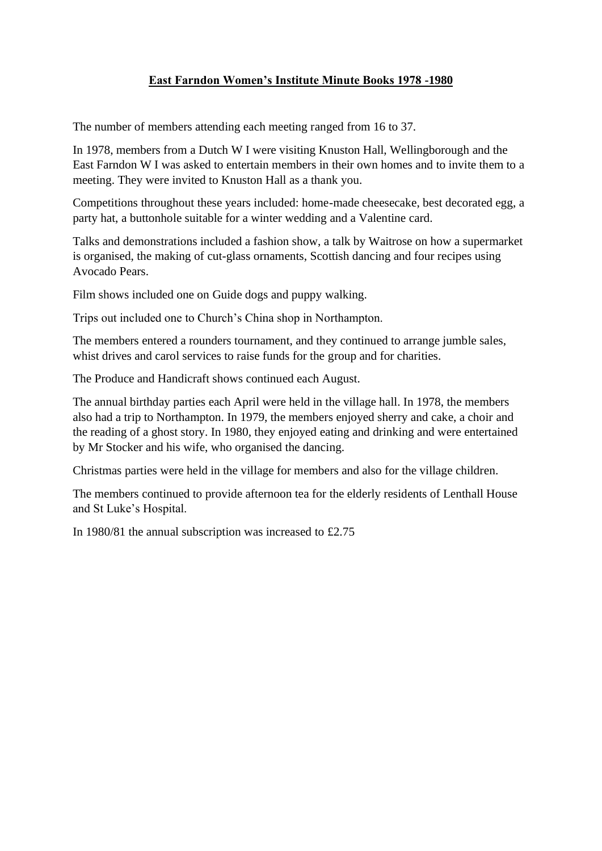## **East Farndon Women's Institute Minute Books 1978 -1980**

The number of members attending each meeting ranged from 16 to 37.

In 1978, members from a Dutch W I were visiting Knuston Hall, Wellingborough and the East Farndon W I was asked to entertain members in their own homes and to invite them to a meeting. They were invited to Knuston Hall as a thank you.

Competitions throughout these years included: home-made cheesecake, best decorated egg, a party hat, a buttonhole suitable for a winter wedding and a Valentine card.

Talks and demonstrations included a fashion show, a talk by Waitrose on how a supermarket is organised, the making of cut-glass ornaments, Scottish dancing and four recipes using Avocado Pears.

Film shows included one on Guide dogs and puppy walking.

Trips out included one to Church's China shop in Northampton.

The members entered a rounders tournament, and they continued to arrange jumble sales, whist drives and carol services to raise funds for the group and for charities.

The Produce and Handicraft shows continued each August.

The annual birthday parties each April were held in the village hall. In 1978, the members also had a trip to Northampton. In 1979, the members enjoyed sherry and cake, a choir and the reading of a ghost story. In 1980, they enjoyed eating and drinking and were entertained by Mr Stocker and his wife, who organised the dancing.

Christmas parties were held in the village for members and also for the village children.

The members continued to provide afternoon tea for the elderly residents of Lenthall House and St Luke's Hospital.

In 1980/81 the annual subscription was increased to £2.75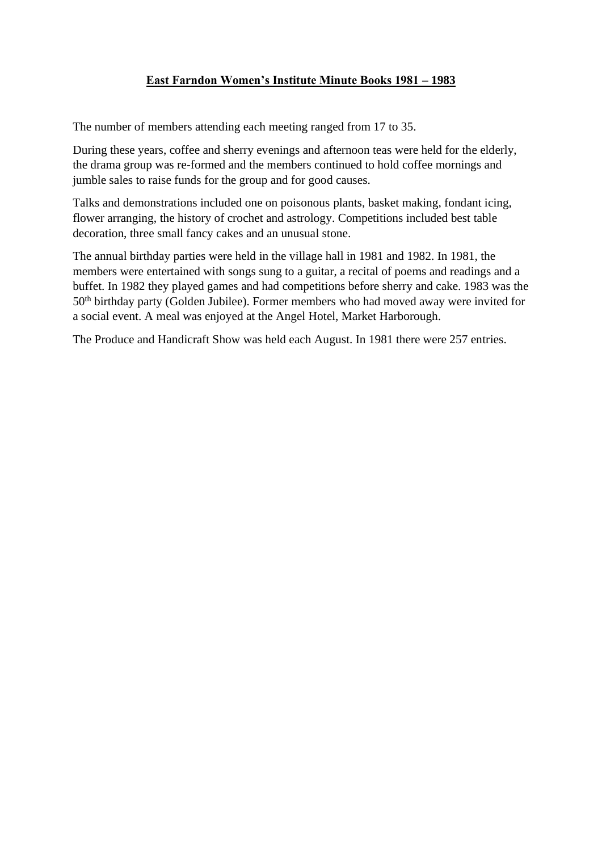# **East Farndon Women's Institute Minute Books 1981 – 1983**

The number of members attending each meeting ranged from 17 to 35.

During these years, coffee and sherry evenings and afternoon teas were held for the elderly, the drama group was re-formed and the members continued to hold coffee mornings and jumble sales to raise funds for the group and for good causes.

Talks and demonstrations included one on poisonous plants, basket making, fondant icing, flower arranging, the history of crochet and astrology. Competitions included best table decoration, three small fancy cakes and an unusual stone.

The annual birthday parties were held in the village hall in 1981 and 1982. In 1981, the members were entertained with songs sung to a guitar, a recital of poems and readings and a buffet. In 1982 they played games and had competitions before sherry and cake. 1983 was the 50th birthday party (Golden Jubilee). Former members who had moved away were invited for a social event. A meal was enjoyed at the Angel Hotel, Market Harborough.

The Produce and Handicraft Show was held each August. In 1981 there were 257 entries.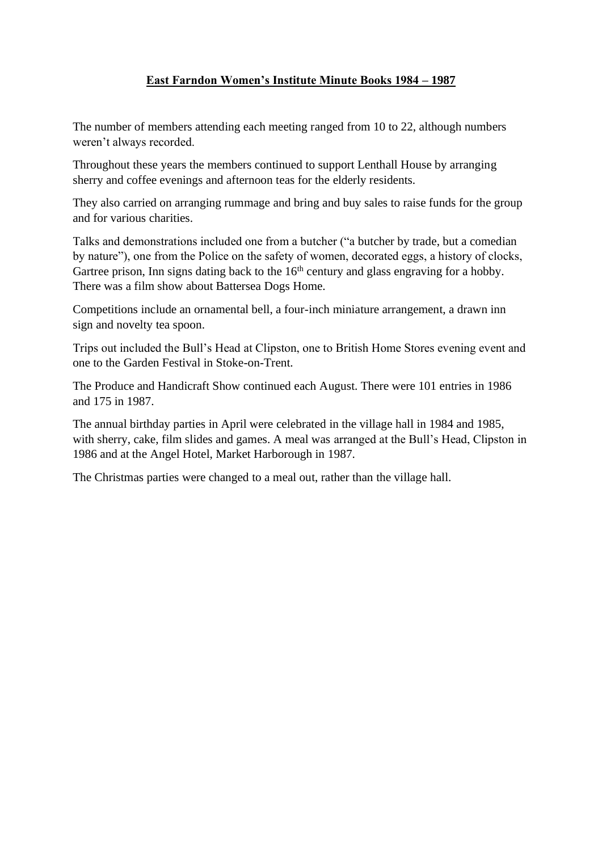# **East Farndon Women's Institute Minute Books 1984 – 1987**

The number of members attending each meeting ranged from 10 to 22, although numbers weren't always recorded.

Throughout these years the members continued to support Lenthall House by arranging sherry and coffee evenings and afternoon teas for the elderly residents.

They also carried on arranging rummage and bring and buy sales to raise funds for the group and for various charities.

Talks and demonstrations included one from a butcher ("a butcher by trade, but a comedian by nature"), one from the Police on the safety of women, decorated eggs, a history of clocks, Gartree prison, Inn signs dating back to the  $16<sup>th</sup>$  century and glass engraving for a hobby. There was a film show about Battersea Dogs Home.

Competitions include an ornamental bell, a four-inch miniature arrangement, a drawn inn sign and novelty tea spoon.

Trips out included the Bull's Head at Clipston, one to British Home Stores evening event and one to the Garden Festival in Stoke-on-Trent.

The Produce and Handicraft Show continued each August. There were 101 entries in 1986 and 175 in 1987.

The annual birthday parties in April were celebrated in the village hall in 1984 and 1985, with sherry, cake, film slides and games. A meal was arranged at the Bull's Head, Clipston in 1986 and at the Angel Hotel, Market Harborough in 1987.

The Christmas parties were changed to a meal out, rather than the village hall.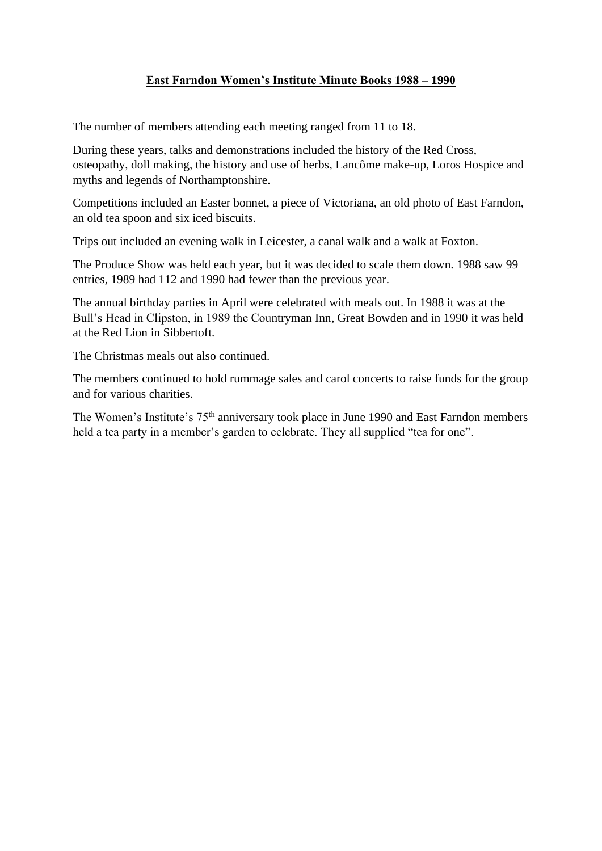## **East Farndon Women's Institute Minute Books 1988 – 1990**

The number of members attending each meeting ranged from 11 to 18.

During these years, talks and demonstrations included the history of the Red Cross, osteopathy, doll making, the history and use of herbs, Lancôme make-up, Loros Hospice and myths and legends of Northamptonshire.

Competitions included an Easter bonnet, a piece of Victoriana, an old photo of East Farndon, an old tea spoon and six iced biscuits.

Trips out included an evening walk in Leicester, a canal walk and a walk at Foxton.

The Produce Show was held each year, but it was decided to scale them down. 1988 saw 99 entries, 1989 had 112 and 1990 had fewer than the previous year.

The annual birthday parties in April were celebrated with meals out. In 1988 it was at the Bull's Head in Clipston, in 1989 the Countryman Inn, Great Bowden and in 1990 it was held at the Red Lion in Sibbertoft.

The Christmas meals out also continued.

The members continued to hold rummage sales and carol concerts to raise funds for the group and for various charities.

The Women's Institute's 75<sup>th</sup> anniversary took place in June 1990 and East Farndon members held a tea party in a member's garden to celebrate. They all supplied "tea for one".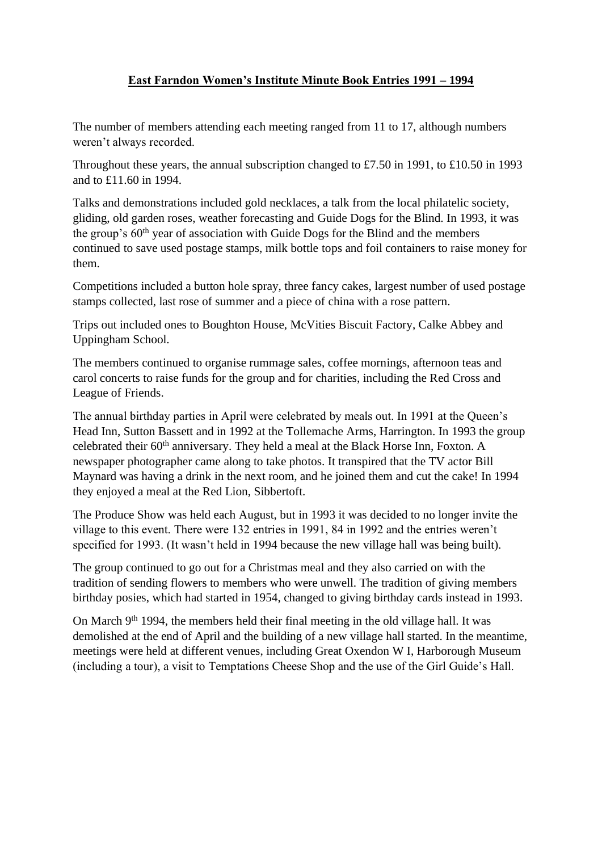## **East Farndon Women's Institute Minute Book Entries 1991 – 1994**

The number of members attending each meeting ranged from 11 to 17, although numbers weren't always recorded.

Throughout these years, the annual subscription changed to £7.50 in 1991, to £10.50 in 1993 and to £11.60 in 1994.

Talks and demonstrations included gold necklaces, a talk from the local philatelic society, gliding, old garden roses, weather forecasting and Guide Dogs for the Blind. In 1993, it was the group's 60<sup>th</sup> year of association with Guide Dogs for the Blind and the members continued to save used postage stamps, milk bottle tops and foil containers to raise money for them.

Competitions included a button hole spray, three fancy cakes, largest number of used postage stamps collected, last rose of summer and a piece of china with a rose pattern.

Trips out included ones to Boughton House, McVities Biscuit Factory, Calke Abbey and Uppingham School.

The members continued to organise rummage sales, coffee mornings, afternoon teas and carol concerts to raise funds for the group and for charities, including the Red Cross and League of Friends.

The annual birthday parties in April were celebrated by meals out. In 1991 at the Queen's Head Inn, Sutton Bassett and in 1992 at the Tollemache Arms, Harrington. In 1993 the group celebrated their 60<sup>th</sup> anniversary. They held a meal at the Black Horse Inn, Foxton. A newspaper photographer came along to take photos. It transpired that the TV actor Bill Maynard was having a drink in the next room, and he joined them and cut the cake! In 1994 they enjoyed a meal at the Red Lion, Sibbertoft.

The Produce Show was held each August, but in 1993 it was decided to no longer invite the village to this event. There were 132 entries in 1991, 84 in 1992 and the entries weren't specified for 1993. (It wasn't held in 1994 because the new village hall was being built).

The group continued to go out for a Christmas meal and they also carried on with the tradition of sending flowers to members who were unwell. The tradition of giving members birthday posies, which had started in 1954, changed to giving birthday cards instead in 1993.

On March 9<sup>th</sup> 1994, the members held their final meeting in the old village hall. It was demolished at the end of April and the building of a new village hall started. In the meantime, meetings were held at different venues, including Great Oxendon W I, Harborough Museum (including a tour), a visit to Temptations Cheese Shop and the use of the Girl Guide's Hall.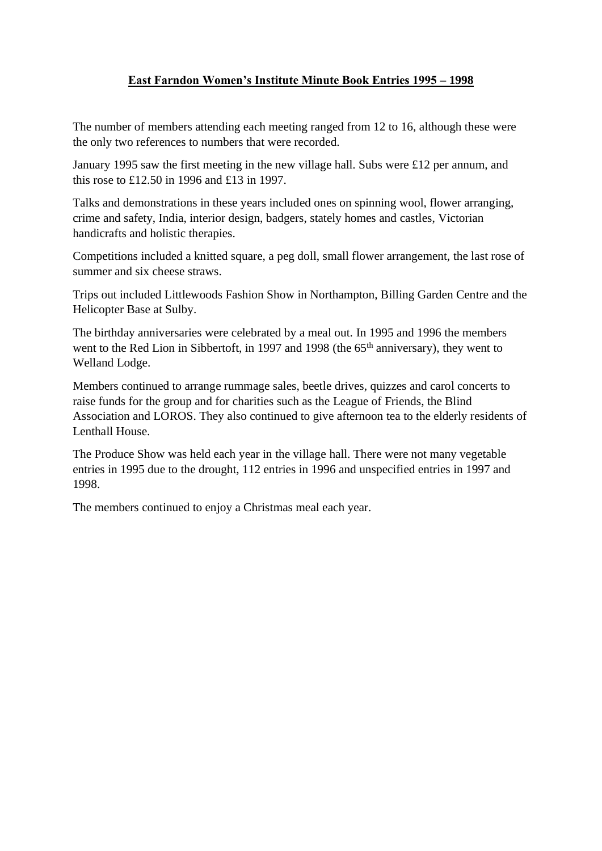## **East Farndon Women's Institute Minute Book Entries 1995 – 1998**

The number of members attending each meeting ranged from 12 to 16, although these were the only two references to numbers that were recorded.

January 1995 saw the first meeting in the new village hall. Subs were £12 per annum, and this rose to £12.50 in 1996 and £13 in 1997.

Talks and demonstrations in these years included ones on spinning wool, flower arranging, crime and safety, India, interior design, badgers, stately homes and castles, Victorian handicrafts and holistic therapies.

Competitions included a knitted square, a peg doll, small flower arrangement, the last rose of summer and six cheese straws.

Trips out included Littlewoods Fashion Show in Northampton, Billing Garden Centre and the Helicopter Base at Sulby.

The birthday anniversaries were celebrated by a meal out. In 1995 and 1996 the members went to the Red Lion in Sibbertoft, in 1997 and 1998 (the 65<sup>th</sup> anniversary), they went to Welland Lodge.

Members continued to arrange rummage sales, beetle drives, quizzes and carol concerts to raise funds for the group and for charities such as the League of Friends, the Blind Association and LOROS. They also continued to give afternoon tea to the elderly residents of Lenthall House.

The Produce Show was held each year in the village hall. There were not many vegetable entries in 1995 due to the drought, 112 entries in 1996 and unspecified entries in 1997 and 1998.

The members continued to enjoy a Christmas meal each year.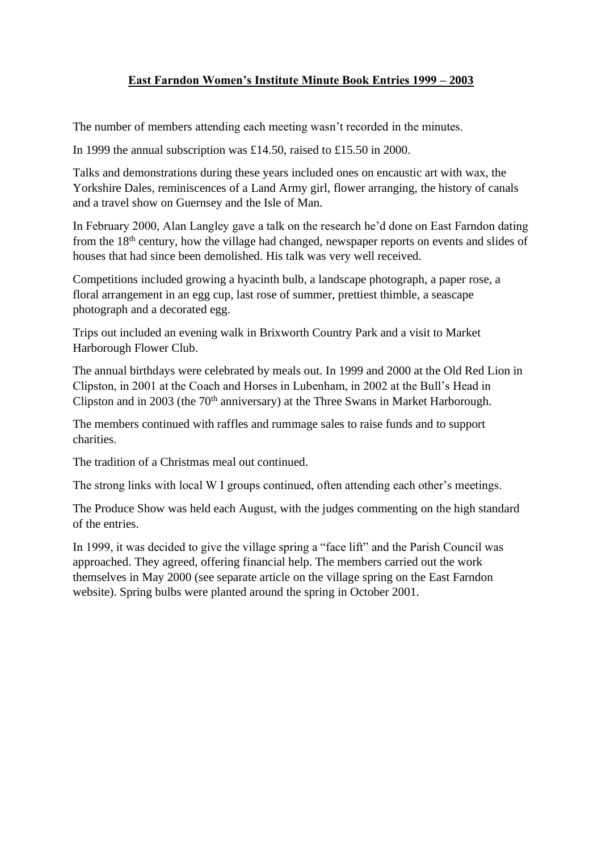## **East Farndon Women's Institute Minute Book Entries 1999 – 2003**

The number of members attending each meeting wasn't recorded in the minutes.

In 1999 the annual subscription was £14.50, raised to £15.50 in 2000.

Talks and demonstrations during these years included ones on encaustic art with wax, the Yorkshire Dales, reminiscences of a Land Army girl, flower arranging, the history of canals and a travel show on Guernsey and the Isle of Man.

In February 2000, Alan Langley gave a talk on the research he'd done on East Farndon dating from the 18th century, how the village had changed, newspaper reports on events and slides of houses that had since been demolished. His talk was very well received.

Competitions included growing a hyacinth bulb, a landscape photograph, a paper rose, a floral arrangement in an egg cup, last rose of summer, prettiest thimble, a seascape photograph and a decorated egg.

Trips out included an evening walk in Brixworth Country Park and a visit to Market Harborough Flower Club.

The annual birthdays were celebrated by meals out. In 1999 and 2000 at the Old Red Lion in Clipston, in 2001 at the Coach and Horses in Lubenham, in 2002 at the Bull's Head in Clipston and in 2003 (the 70<sup>th</sup> anniversary) at the Three Swans in Market Harborough.

The members continued with raffles and rummage sales to raise funds and to support charities.

The tradition of a Christmas meal out continued.

The strong links with local W I groups continued, often attending each other's meetings.

The Produce Show was held each August, with the judges commenting on the high standard of the entries.

In 1999, it was decided to give the village spring a "face lift" and the Parish Council was approached. They agreed, offering financial help. The members carried out the work themselves in May 2000 (see separate article on the village spring on the East Farndon website). Spring bulbs were planted around the spring in October 2001.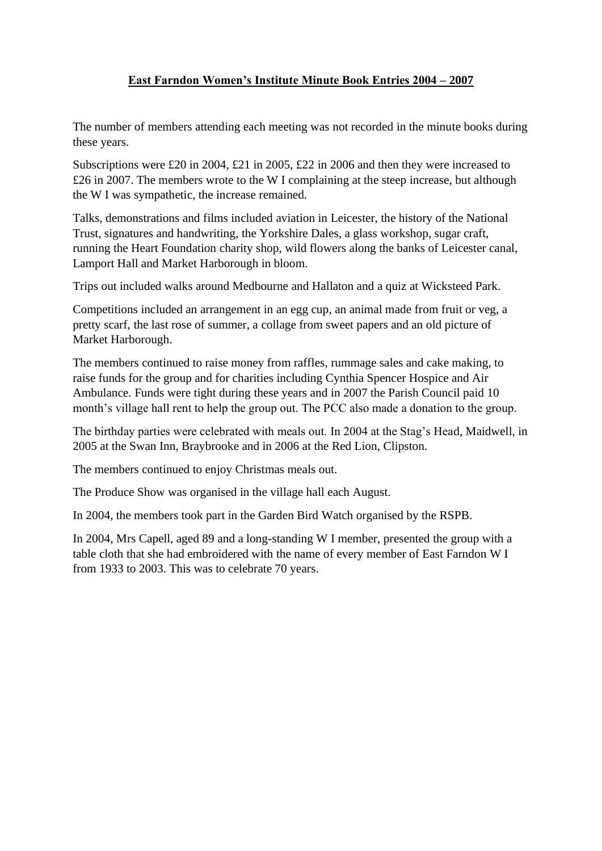# **East Farndon Women's Institute Minute Book Entries 2004 – 2007**

The number of members attending each meeting was not recorded in the minute books during these years.

Subscriptions were £20 in 2004, £21 in 2005, £22 in 2006 and then they were increased to £26 in 2007. The members wrote to the W I complaining at the steep increase, but although the W I was sympathetic, the increase remained.

Talks, demonstrations and films included aviation in Leicester, the history of the National Trust, signatures and handwriting, the Yorkshire Dales, a glass workshop, sugar craft, running the Heart Foundation charity shop, wild flowers along the banks of Leicester canal, Lamport Hall and Market Harborough in bloom.

Trips out included walks around Medbourne and Hallaton and a quiz at Wicksteed Park.

Competitions included an arrangement in an egg cup, an animal made from fruit or veg, a pretty scarf, the last rose of summer, a collage from sweet papers and an old picture of Market Harborough.

The members continued to raise money from raffles, rummage sales and cake making, to raise funds for the group and for charities including Cynthia Spencer Hospice and Air Ambulance. Funds were tight during these years and in 2007 the Parish Council paid 10 month's village hall rent to help the group out. The PCC also made a donation to the group.

The birthday parties were celebrated with meals out. In 2004 at the Stag's Head, Maidwell, in 2005 at the Swan Inn, Braybrooke and in 2006 at the Red Lion, Clipston.

The members continued to enjoy Christmas meals out.

The Produce Show was organised in the village hall each August.

In 2004, the members took part in the Garden Bird Watch organised by the RSPB.

In 2004, Mrs Capell, aged 89 and a long-standing W I member, presented the group with a table cloth that she had embroidered with the name of every member of East Farndon W I from 1933 to 2003. This was to celebrate 70 years.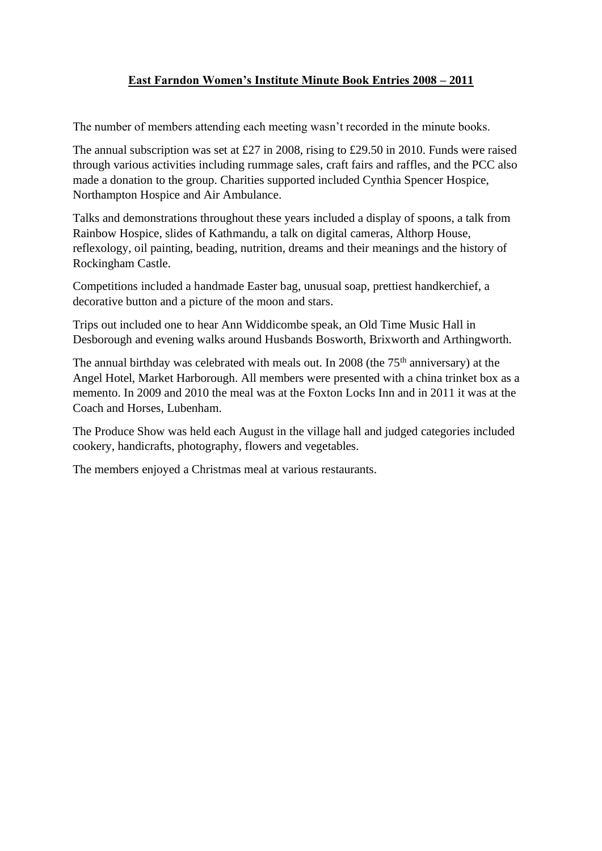## **East Farndon Women's Institute Minute Book Entries 2008 – 2011**

The number of members attending each meeting wasn't recorded in the minute books.

The annual subscription was set at £27 in 2008, rising to £29.50 in 2010. Funds were raised through various activities including rummage sales, craft fairs and raffles, and the PCC also made a donation to the group. Charities supported included Cynthia Spencer Hospice, Northampton Hospice and Air Ambulance.

Talks and demonstrations throughout these years included a display of spoons, a talk from Rainbow Hospice, slides of Kathmandu, a talk on digital cameras, Althorp House, reflexology, oil painting, beading, nutrition, dreams and their meanings and the history of Rockingham Castle.

Competitions included a handmade Easter bag, unusual soap, prettiest handkerchief, a decorative button and a picture of the moon and stars.

Trips out included one to hear Ann Widdicombe speak, an Old Time Music Hall in Desborough and evening walks around Husbands Bosworth, Brixworth and Arthingworth.

The annual birthday was celebrated with meals out. In 2008 (the  $75<sup>th</sup>$  anniversary) at the Angel Hotel, Market Harborough. All members were presented with a china trinket box as a memento. In 2009 and 2010 the meal was at the Foxton Locks Inn and in 2011 it was at the Coach and Horses, Lubenham.

The Produce Show was held each August in the village hall and judged categories included cookery, handicrafts, photography, flowers and vegetables.

The members enjoyed a Christmas meal at various restaurants.